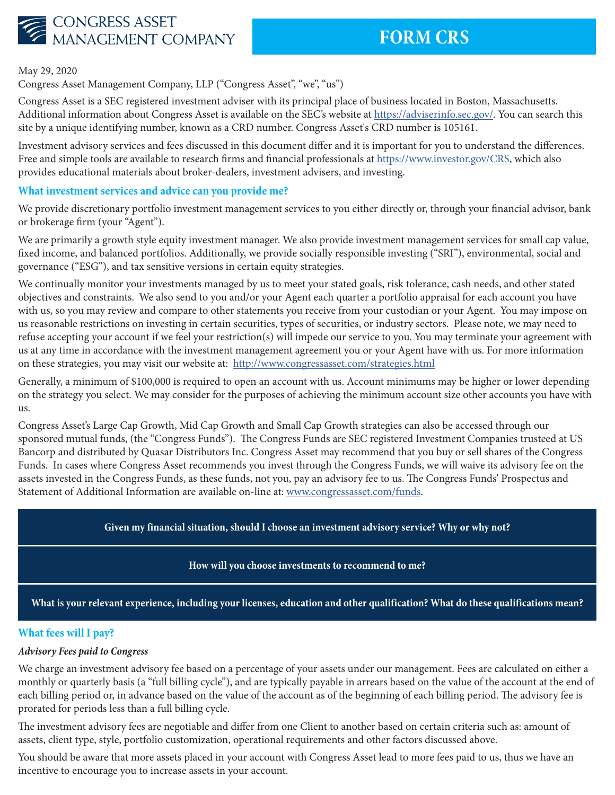

May 29, 2020

Congress Asset Management Company, LLP ("Congress Asset", "we", "us")

Congress Asset is a SEC registered investment adviser with its principal place of business located in Boston, Massachusetts. Additional information about Congress Asset is available on the SEC's website at https://adviserinfo.sec.gov/. You can search this site by a unique identifying number, known as a CRD number. Congress Asset's CRD number is 105161.

Investment advisory services and fees discussed in this document differ and it is important for you to understand the differences. Free and simple tools are available to research firms and financial professionals at https://www.investor.gov/CRS, which also provides educational materials about broker-dealers, investment advisers, and investing.

## **What investment services and advice can you provide me?**

We provide discretionary portfolio investment management services to you either directly or, through your financial advisor, bank or brokerage firm (your "Agent").

We are primarily a growth style equity investment manager. We also provide investment management services for small cap value, fixed income, and balanced portfolios. Additionally, we provide socially responsible investing ("SRI"), environmental, social and governance ("ESG"), and tax sensitive versions in certain equity strategies.

We continually monitor your investments managed by us to meet your stated goals, risk tolerance, cash needs, and other stated objectives and constraints. We also send to you and/or your Agent each quarter a portfolio appraisal for each account you have with us, so you may review and compare to other statements you receive from your custodian or your Agent. You may impose on us reasonable restrictions on investing in certain securities, types of securities, or industry sectors. Please note, we may need to refuse accepting your account if we feel your restriction(s) will impede our service to you. You may terminate your agreement with us at any time in accordance with the investment management agreement you or your Agent have with us. For more information on these strategies, you may visit our website at: http://www.congressasset.com/strategies.html

Generally, a minimum of \$100,000 is required to open an account with us. Account minimums may be higher or lower depending on the strategy you select. We may consider for the purposes of achieving the minimum account size other accounts you have with us.

Congress Asset's Large Cap Growth, Mid Cap Growth and Small Cap Growth strategies can also be accessed through our sponsored mutual funds, (the "Congress Funds"). The Congress Funds are SEC registered Investment Companies trusteed at US Bancorp and distributed by Quasar Distributors Inc. Congress Asset may recommend that you buy or sell shares of the Congress Funds. In cases where Congress Asset recommends you invest through the Congress Funds, we will waive its advisory fee on the assets invested in the Congress Funds, as these funds, not you, pay an advisory fee to us. The Congress Funds' Prospectus and Statement of Additional Information are available on-line at: www.congressasset.com/funds.

## **Given my financial situation, should I choose an investment advisory service? Why or why not?**

## **How will you choose investments to recommend to me?**

**What is your relevant experience, including your licenses, education and other qualification? What do these qualifications mean?**

## **What fees will I pay?**

## *Advisory Fees paid to Congress*

We charge an investment advisory fee based on a percentage of your assets under our management. Fees are calculated on either a monthly or quarterly basis (a "full billing cycle"), and are typically payable in arrears based on the value of the account at the end of each billing period or, in advance based on the value of the account as of the beginning of each billing period. The advisory fee is prorated for periods less than a full billing cycle.

The investment advisory fees are negotiable and differ from one Client to another based on certain criteria such as: amount of assets, client type, style, portfolio customization, operational requirements and other factors discussed above.

You should be aware that more assets placed in your account with Congress Asset lead to more fees paid to us, thus we have an incentive to encourage you to increase assets in your account.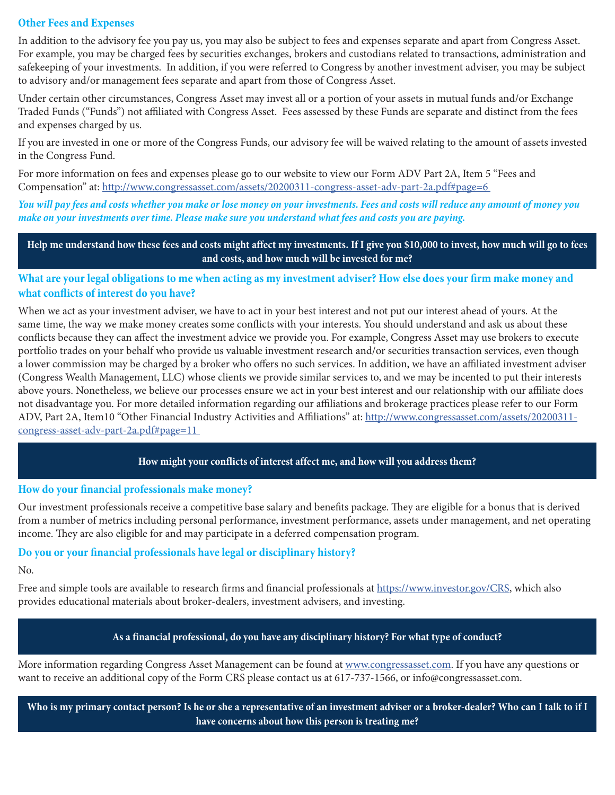## **Other Fees and Expenses**

In addition to the advisory fee you pay us, you may also be subject to fees and expenses separate and apart from Congress Asset. For example, you may be charged fees by securities exchanges, brokers and custodians related to transactions, administration and safekeeping of your investments. In addition, if you were referred to Congress by another investment adviser, you may be subject to advisory and/or management fees separate and apart from those of Congress Asset.

Under certain other circumstances, Congress Asset may invest all or a portion of your assets in mutual funds and/or Exchange Traded Funds ("Funds") not affiliated with Congress Asset. Fees assessed by these Funds are separate and distinct from the fees and expenses charged by us.

If you are invested in one or more of the Congress Funds, our advisory fee will be waived relating to the amount of assets invested in the Congress Fund.

For more information on fees and expenses please go to our website to view our Form ADV Part 2A, Item 5 "Fees and Compensation" at: http://www.congressasset.com/assets/20200311-congress-asset-adv-part-2a.pdf#page=6

*You will pay fees and costs whether you make or lose money on your investments. Fees and costs will reduce any amount of money you make on your investments over time. Please make sure you understand what fees and costs you are paying.*

**Help me understand how these fees and costs might affect my investments. If I give you \$10,000 to invest, how much will go to fees and costs, and how much will be invested for me?**

**What are your legal obligations to me when acting as my investment adviser? How else does your firm make money and what conflicts of interest do you have?**

When we act as your investment adviser, we have to act in your best interest and not put our interest ahead of yours. At the same time, the way we make money creates some conflicts with your interests. You should understand and ask us about these conflicts because they can affect the investment advice we provide you. For example, Congress Asset may use brokers to execute portfolio trades on your behalf who provide us valuable investment research and/or securities transaction services, even though a lower commission may be charged by a broker who offers no such services. In addition, we have an affiliated investment adviser (Congress Wealth Management, LLC) whose clients we provide similar services to, and we may be incented to put their interests above yours. Nonetheless, we believe our processes ensure we act in your best interest and our relationship with our affiliate does not disadvantage you. For more detailed information regarding our affiliations and brokerage practices please refer to our Form ADV, Part 2A, Item10 "Other Financial Industry Activities and Affiliations" at: http://www.congressasset.com/assets/20200311congress-asset-adv-part-2a.pdf#page=11

## **How might your conflicts of interest affect me, and how will you address them?**

## **How do your financial professionals make money?**

Our investment professionals receive a competitive base salary and benefits package. They are eligible for a bonus that is derived from a number of metrics including personal performance, investment performance, assets under management, and net operating income. They are also eligible for and may participate in a deferred compensation program.

## **Do you or your financial professionals have legal or disciplinary history?**

No.

Free and simple tools are available to research firms and financial professionals at https://www.investor.gov/CRS, which also provides educational materials about broker-dealers, investment advisers, and investing.

## **As a financial professional, do you have any disciplinary history? For what type of conduct?**

More information regarding Congress Asset Management can be found at www.congressasset.com. If you have any questions or want to receive an additional copy of the Form CRS please contact us at 617-737-1566, or info@congressasset.com.

**Who is my primary contact person? Is he or she a representative of an investment adviser or a broker-dealer? Who can I talk to if I have concerns about how this person is treating me?**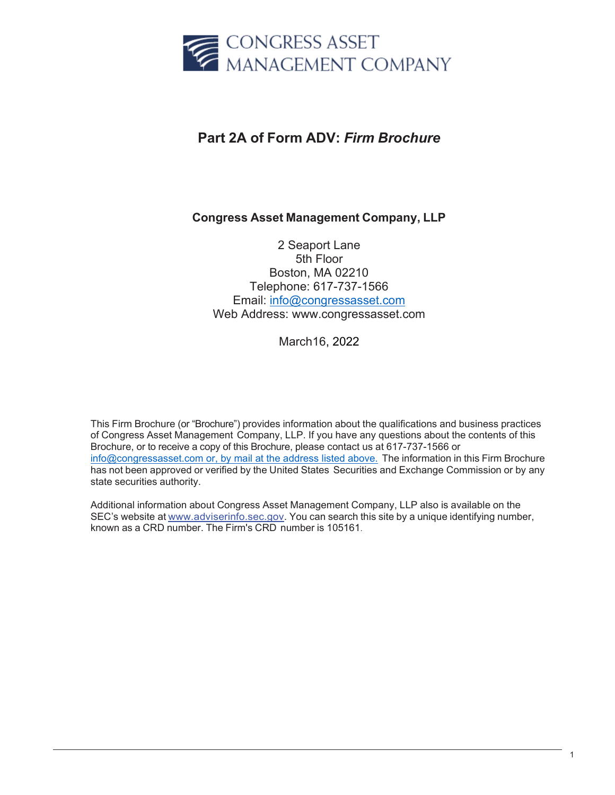

# **Part 2A of Form ADV:** *Firm Brochure*

# **Congress Asset Management Company, LLP**

2 Seaport Lane 5th Floor Boston, MA 02210 Telephone: 617-737-1566 Email: [info@congressasset.com](mailto:info@congressasset.com) [Web Address: www.congressasset.com](http://www.congressasset.com/)

March16, 2022

This Firm Brochure (or "Brochure") provides information about the qualifications and business practices of Congress Asset Management Company, LLP. If you have any questions about the contents of this Brochure, or to receive a copy of this Brochure, please contact us at 617-737-1566 or [info@congressasset.com or, by mail at the address listed above.](mailto:info@congressasset.com%20or,%20by%20mail%20at%20the%20address%20listed%20above.) The information in this Firm Brochure has not been approved or verified by the United States Securities and Exchange Commission or by any state securities authority.

Additional information about Congress Asset Management Company, LLP also is available on the SEC's website at [www.adviserinfo.sec.gov.](http://www.adviserinfo.sec.gov/) You can search this site by a unique identifying number, known as a CRD number. The Firm's CRD number is 105161.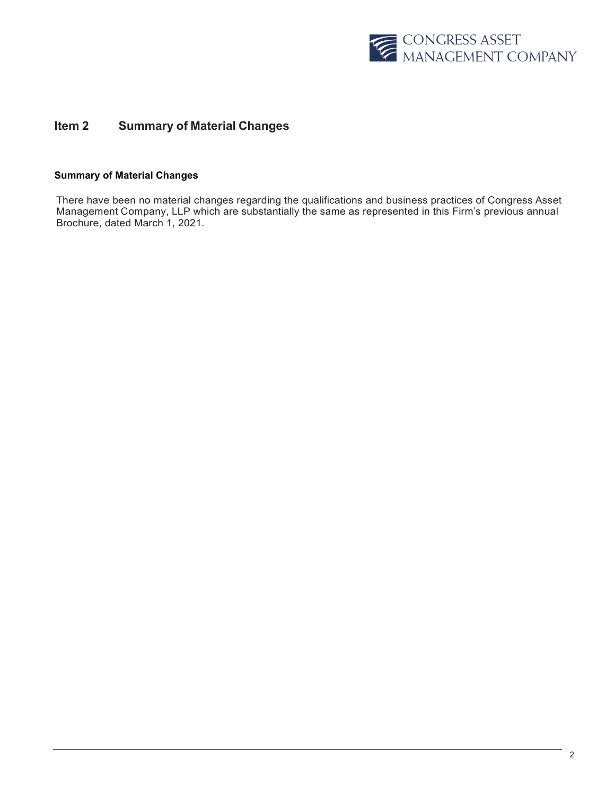

## **Item 2 Summary of Material Changes**

### **Summary of Material Changes**

There have been no material changes regarding the qualifications and business practices of Congress Asset Management Company, LLP which are substantially the same as represented in this Firm's previous annual Brochure, dated March 1, 2021.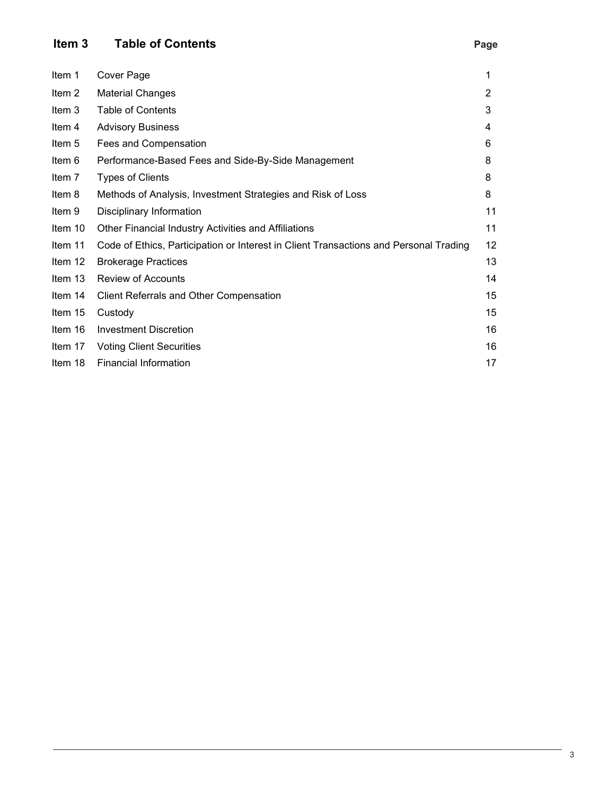# **Item 3 Table of Contents Page**

| I      | ۰.      |  |
|--------|---------|--|
| $\sim$ | ۰.<br>- |  |

| Item 1   | Cover Page                                                                            | 1  |
|----------|---------------------------------------------------------------------------------------|----|
| Item 2   | <b>Material Changes</b>                                                               | 2  |
| Item 3   | <b>Table of Contents</b>                                                              | 3  |
| Item $4$ | <b>Advisory Business</b>                                                              | 4  |
| Item 5   | Fees and Compensation                                                                 | 6  |
| Item 6   | Performance-Based Fees and Side-By-Side Management                                    | 8  |
| Item 7   | <b>Types of Clients</b>                                                               | 8  |
| Item 8   | Methods of Analysis, Investment Strategies and Risk of Loss                           | 8  |
| Item 9   | Disciplinary Information                                                              | 11 |
| Item 10  | Other Financial Industry Activities and Affiliations                                  | 11 |
| Item 11  | Code of Ethics, Participation or Interest in Client Transactions and Personal Trading | 12 |
| Item 12  | <b>Brokerage Practices</b>                                                            | 13 |
| Item 13  | <b>Review of Accounts</b>                                                             | 14 |
| Item 14  | <b>Client Referrals and Other Compensation</b>                                        | 15 |
| Item 15  | Custody                                                                               | 15 |
| Item 16  | Investment Discretion                                                                 | 16 |
| Item 17  | <b>Voting Client Securities</b>                                                       | 16 |
| Item 18  | <b>Financial Information</b>                                                          | 17 |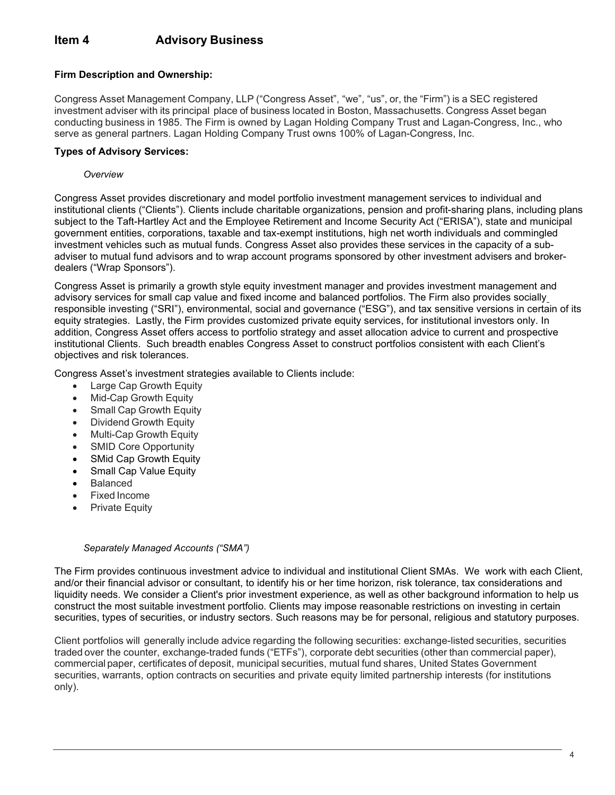## **Firm Description and Ownership:**

Congress Asset Management Company, LLP ("Congress Asset", "we", "us", or, the "Firm") is a SEC registered investment adviser with its principal place of business located in Boston, Massachusetts. Congress Asset began conducting business in 1985. The Firm is owned by Lagan Holding Company Trust and Lagan-Congress, Inc., who serve as general partners. Lagan Holding Company Trust owns 100% of Lagan-Congress, Inc.

## **Types of Advisory Services:**

### *Overview*

Congress Asset provides discretionary and model portfolio investment management services to individual and institutional clients ("Clients"). Clients include charitable organizations, pension and profit-sharing plans, including plans subject to the Taft-Hartley Act and the Employee Retirement and Income Security Act ("ERISA"), state and municipal government entities, corporations, taxable and tax-exempt institutions, high net worth individuals and commingled investment vehicles such as mutual funds. Congress Asset also provides these services in the capacity of a subadviser to mutual fund advisors and to wrap account programs sponsored by other investment advisers and brokerdealers ("Wrap Sponsors").

Congress Asset is primarily a growth style equity investment manager and provides investment management and advisory services for small cap value and fixed income and balanced portfolios. The Firm also provides socially responsible investing ("SRI"), environmental, social and governance ("ESG"), and tax sensitive versions in certain of its equity strategies. Lastly, the Firm provides customized private equity services, for institutional investors only. In addition, Congress Asset offers access to portfolio strategy and asset allocation advice to current and prospective institutional Clients. Such breadth enables Congress Asset to construct portfolios consistent with each Client's objectives and risk tolerances.

Congress Asset's investment strategies available to Clients include:

- Large Cap Growth Equity
- Mid-Cap Growth Equity
- Small Cap Growth Equity
- Dividend Growth Equity
- Multi-Cap Growth Equity
- SMID Core Opportunity
- SMid Cap Growth Equity
- Small Cap Value Equity
- Balanced
- Fixed Income
- Private Equity

#### *Separately Managed Accounts ("SMA")*

The Firm provides continuous investment advice to individual and institutional Client SMAs. We work with each Client, and/or their financial advisor or consultant, to identify his or her time horizon, risk tolerance, tax considerations and liquidity needs. We consider a Client's prior investment experience, as well as other background information to help us construct the most suitable investment portfolio. Clients may impose reasonable restrictions on investing in certain securities, types of securities, or industry sectors. Such reasons may be for personal, religious and statutory purposes.

Client portfolios will generally include advice regarding the following securities: exchange-listed securities, securities traded over the counter, exchange-traded funds ("ETFs"), corporate debt securities (other than commercial paper), commercial paper, certificates of deposit, municipal securities, mutual fund shares, United States Government securities, warrants, option contracts on securities and private equity limited partnership interests (for institutions only).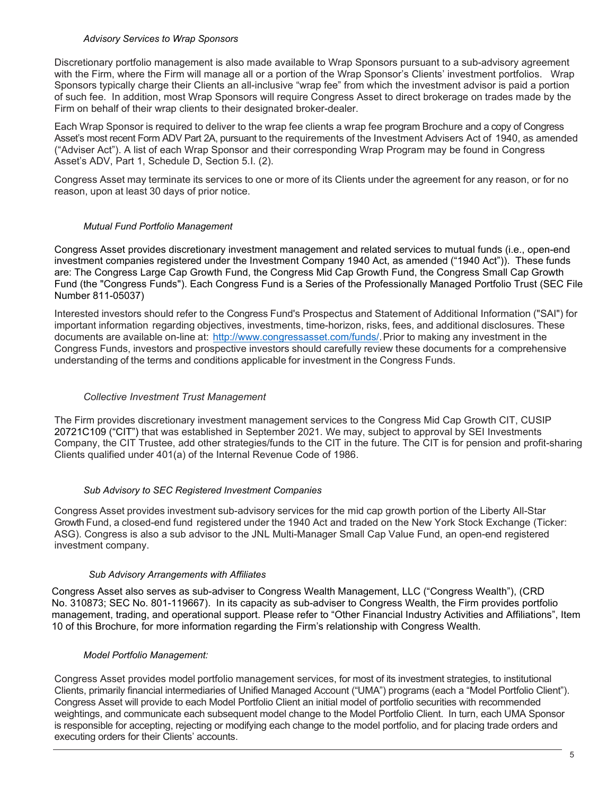#### *Advisory Services to Wrap Sponsors*

Discretionary portfolio management is also made available to Wrap Sponsors pursuant to a sub-advisory agreement with the Firm, where the Firm will manage all or a portion of the Wrap Sponsor's Clients' investment portfolios. Wrap Sponsors typically charge their Clients an all-inclusive "wrap fee" from which the investment advisor is paid a portion of such fee. In addition, most Wrap Sponsors will require Congress Asset to direct brokerage on trades made by the Firm on behalf of their wrap clients to their designated broker-dealer.

Each Wrap Sponsor is required to deliver to the wrap fee clients a wrap fee program Brochure and a copy of Congress Asset's most recent Form ADV Part 2A, pursuant to the requirements of the Investment Advisers Act of 1940, as amended ("Adviser Act"). A list of each Wrap Sponsor and their corresponding Wrap Program may be found in Congress Asset's ADV, Part 1, Schedule D, Section 5.I. (2).

Congress Asset may terminate its services to one or more of its Clients under the agreement for any reason, or for no reason, upon at least 30 days of prior notice.

### *Mutual Fund Portfolio Management*

Congress Asset provides discretionary investment management and related services to mutual funds (i.e., open-end investment companies registered under the Investment Company 1940 Act, as amended ("1940 Act")). These funds are: The Congress Large Cap Growth Fund, the Congress Mid Cap Growth Fund, the Congress Small Cap Growth Fund (the "Congress Funds"). Each Congress Fund is a Series of the Professionally Managed Portfolio Trust (SEC File Number 811-05037)

Interested investors should refer to the Congress Fund's Prospectus and Statement of Additional Information ("SAI") for important information regarding objectives, investments, time-horizon, risks, fees, and additional disclosures. These documents are available on-line at: [http://www.congressasset.com/funds/.](http://www.congressasset.com/funds/) Prior to making any investment in the Congress Funds, investors and prospective investors should carefully review these documents for a comprehensive understanding of the terms and conditions applicable for investment in the Congress Funds.

### *Collective Investment Trust Management*

The Firm provides discretionary investment management services to the Congress Mid Cap Growth CIT, CUSIP 20721C109 ("CIT") that was established in September 2021. We may, subject to approval by SEI Investments Company, the CIT Trustee, add other strategies/funds to the CIT in the future. The CIT is for pension and profit-sharing Clients qualified under 401(a) of the Internal Revenue Code of 1986.

## *Sub Advisory to SEC Registered Investment Companies*

Congress Asset provides investment sub-advisory services for the mid cap growth portion of the Liberty All-Star Growth Fund, a closed-end fund registered under the 1940 Act and traded on the New York Stock Exchange (Ticker: ASG). Congress is also a sub advisor to the JNL Multi-Manager Small Cap Value Fund, an open-end registered investment company.

#### *Sub Advisory Arrangements with Affiliates*

Congress Asset also serves as sub-adviser to Congress Wealth Management, LLC ("Congress Wealth"), (CRD No. 310873; SEC No. 801-119667). In its capacity as sub-adviser to Congress Wealth, the Firm provides portfolio management, trading, and operational support. Please refer to "Other Financial Industry Activities and Affiliations", Item 10 of this Brochure, for more information regarding the Firm's relationship with Congress Wealth.

#### *Model Portfolio Management:*

Congress Asset provides model portfolio management services, for most of its investment strategies, to institutional Clients, primarily financial intermediaries of Unified Managed Account ("UMA") programs (each a "Model Portfolio Client"). Congress Asset will provide to each Model Portfolio Client an initial model of portfolio securities with recommended weightings, and communicate each subsequent model change to the Model Portfolio Client. In turn, each UMA Sponsor is responsible for accepting, rejecting or modifying each change to the model portfolio, and for placing trade orders and executing orders for their Clients' accounts.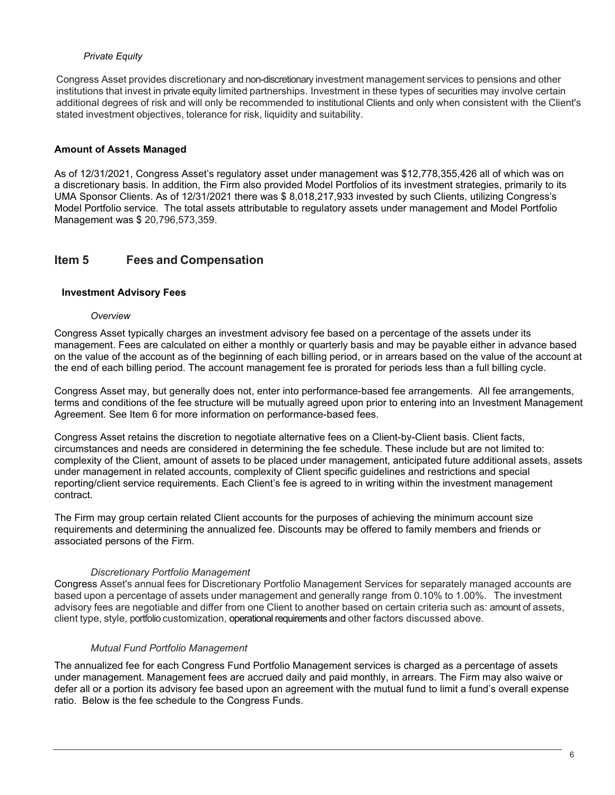### *Private Equity*

Congress Asset provides discretionary and non-discretionary investment management services to pensions and other institutions that invest in private equity limited partnerships. Investment in these types of securities may involve certain additional degrees of risk and will only be recommended to institutional Clients and only when consistent with the Client's stated investment objectives, tolerance for risk, liquidity and suitability.

## **Amount of Assets Managed**

As of 12/31/2021, Congress Asset's regulatory asset under management was \$12,778,355,426 all of which was on a discretionary basis. In addition, the Firm also provided Model Portfolios of its investment strategies, primarily to its UMA Sponsor Clients. As of 12/31/2021 there was \$ 8,018,217,933 invested by such Clients, utilizing Congress's Model Portfolio service. The total assets attributable to regulatory assets under management and Model Portfolio Management was \$ 20,796,573,359.

## **Item 5 Fees and Compensation**

## **Investment Advisory Fees**

### *Overview*

Congress Asset typically charges an investment advisory fee based on a percentage of the assets under its management. Fees are calculated on either a monthly or quarterly basis and may be payable either in advance based on the value of the account as of the beginning of each billing period, or in arrears based on the value of the account at the end of each billing period. The account management fee is prorated for periods less than a full billing cycle.

Congress Asset may, but generally does not, enter into performance-based fee arrangements. All fee arrangements, terms and conditions of the fee structure will be mutually agreed upon prior to entering into an Investment Management Agreement. See Item 6 for more information on performance-based fees.

Congress Asset retains the discretion to negotiate alternative fees on a Client-by-Client basis. Client facts, circumstances and needs are considered in determining the fee schedule. These include but are not limited to: complexity of the Client, amount of assets to be placed under management, anticipated future additional assets, assets under management in related accounts, complexity of Client specific guidelines and restrictions and special reporting/client service requirements. Each Client's fee is agreed to in writing within the investment management contract.

The Firm may group certain related Client accounts for the purposes of achieving the minimum account size requirements and determining the annualized fee. Discounts may be offered to family members and friends or associated persons of the Firm.

## *Discretionary Portfolio Management*

Congress Asset's annual fees for Discretionary Portfolio Management Services for separately managed accounts are based upon a percentage of assets under management and generally range from 0.10% to 1.00%. The investment advisory fees are negotiable and differ from one Client to another based on certain criteria such as: amount of assets, client type, style, portfolio customization, operational requirements and other factors discussed above.

## *Mutual Fund Portfolio Management*

The annualized fee for each Congress Fund Portfolio Management services is charged as a percentage of assets under management. Management fees are accrued daily and paid monthly, in arrears. The Firm may also waive or defer all or a portion its advisory fee based upon an agreement with the mutual fund to limit a fund's overall expense ratio. Below is the fee schedule to the Congress Funds.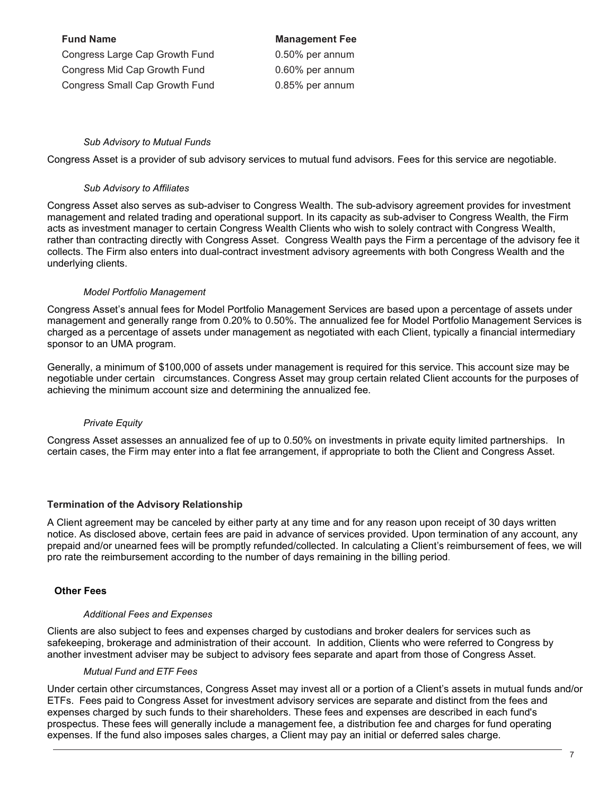| <b>Fund Name</b>                      | <b>Management Fee</b> |
|---------------------------------------|-----------------------|
| Congress Large Cap Growth Fund        | 0.50% per annum       |
| Congress Mid Cap Growth Fund          | 0.60% per annum       |
| <b>Congress Small Cap Growth Fund</b> | 0.85% per annum       |

### *Sub Advisory to Mutual Funds*

Congress Asset is a provider of sub advisory services to mutual fund advisors. Fees for this service are negotiable.

#### *Sub Advisory to Affiliates*

Congress Asset also serves as sub-adviser to Congress Wealth. The sub-advisory agreement provides for investment management and related trading and operational support. In its capacity as sub-adviser to Congress Wealth, the Firm acts as investment manager to certain Congress Wealth Clients who wish to solely contract with Congress Wealth, rather than contracting directly with Congress Asset. Congress Wealth pays the Firm a percentage of the advisory fee it collects. The Firm also enters into dual-contract investment advisory agreements with both Congress Wealth and the underlying clients.

#### *Model Portfolio Management*

Congress Asset's annual fees for Model Portfolio Management Services are based upon a percentage of assets under management and generally range from 0.20% to 0.50%. The annualized fee for Model Portfolio Management Services is charged as a percentage of assets under management as negotiated with each Client, typically a financial intermediary sponsor to an UMA program.

Generally, a minimum of \$100,000 of assets under management is required for this service. This account size may be negotiable under certain circumstances. Congress Asset may group certain related Client accounts for the purposes of achieving the minimum account size and determining the annualized fee.

#### *Private Equity*

Congress Asset assesses an annualized fee of up to 0.50% on investments in private equity limited partnerships. In certain cases, the Firm may enter into a flat fee arrangement, if appropriate to both the Client and Congress Asset.

#### **Termination of the Advisory Relationship**

A Client agreement may be canceled by either party at any time and for any reason upon receipt of 30 days written notice. As disclosed above, certain fees are paid in advance of services provided. Upon termination of any account, any prepaid and/or unearned fees will be promptly refunded/collected. In calculating a Client's reimbursement of fees, we will pro rate the reimbursement according to the number of days remaining in the billing period.

#### **Other Fees**

#### *Additional Fees and Expenses*

Clients are also subject to fees and expenses charged by custodians and broker dealers for services such as safekeeping, brokerage and administration of their account. In addition, Clients who were referred to Congress by another investment adviser may be subject to advisory fees separate and apart from those of Congress Asset.

#### *Mutual Fund and ETF Fees*

Under certain other circumstances, Congress Asset may invest all or a portion of a Client's assets in mutual funds and/or ETFs. Fees paid to Congress Asset for investment advisory services are separate and distinct from the fees and expenses charged by such funds to their shareholders. These fees and expenses are described in each fund's prospectus. These fees will generally include a management fee, a distribution fee and charges for fund operating expenses. If the fund also imposes sales charges, a Client may pay an initial or deferred sales charge.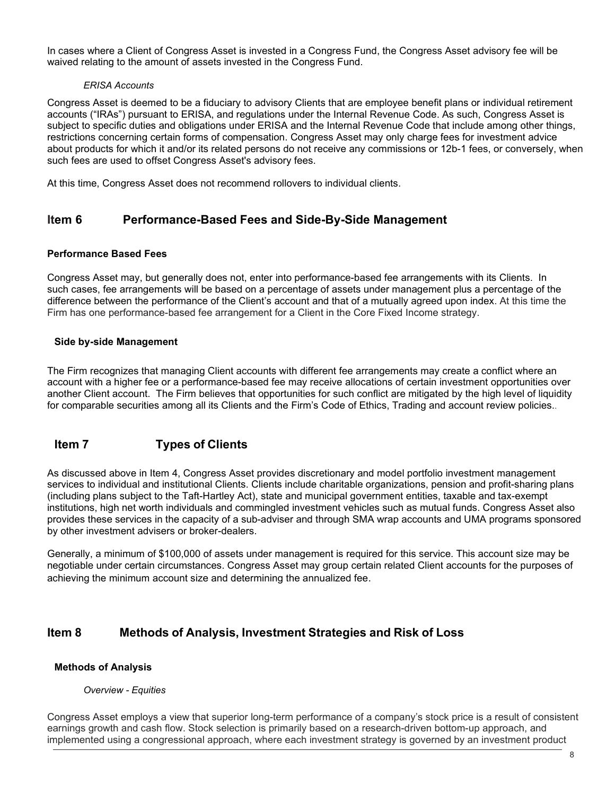In cases where a Client of Congress Asset is invested in a Congress Fund, the Congress Asset advisory fee will be waived relating to the amount of assets invested in the Congress Fund.

## *ERISA Accounts*

Congress Asset is deemed to be a fiduciary to advisory Clients that are employee benefit plans or individual retirement accounts ("IRAs") pursuant to ERISA, and regulations under the Internal Revenue Code. As such, Congress Asset is subject to specific duties and obligations under ERISA and the Internal Revenue Code that include among other things, restrictions concerning certain forms of compensation. Congress Asset may only charge fees for investment advice about products for which it and/or its related persons do not receive any commissions or 12b-1 fees, or conversely, when such fees are used to offset Congress Asset's advisory fees.

At this time, Congress Asset does not recommend rollovers to individual clients.

## **Item 6 Performance-Based Fees and Side-By-Side Management**

## **Performance Based Fees**

Congress Asset may, but generally does not, enter into performance-based fee arrangements with its Clients. In such cases, fee arrangements will be based on a percentage of assets under management plus a percentage of the difference between the performance of the Client's account and that of a mutually agreed upon index. At this time the Firm has one performance-based fee arrangement for a Client in the Core Fixed Income strategy.

### **Side by-side Management**

The Firm recognizes that managing Client accounts with different fee arrangements may create a conflict where an account with a higher fee or a performance-based fee may receive allocations of certain investment opportunities over another Client account. The Firm believes that opportunities for such conflict are mitigated by the high level of liquidity for comparable securities among all its Clients and the Firm's Code of Ethics, Trading and account review policies..

## **Item 7 Types of Clients**

As discussed above in Item 4, Congress Asset provides discretionary and model portfolio investment management services to individual and institutional Clients. Clients include charitable organizations, pension and profit-sharing plans (including plans subject to the Taft-Hartley Act), state and municipal government entities, taxable and tax-exempt institutions, high net worth individuals and commingled investment vehicles such as mutual funds. Congress Asset also provides these services in the capacity of a sub-adviser and through SMA wrap accounts and UMA programs sponsored by other investment advisers or broker-dealers.

Generally, a minimum of \$100,000 of assets under management is required for this service. This account size may be negotiable under certain circumstances. Congress Asset may group certain related Client accounts for the purposes of achieving the minimum account size and determining the annualized fee.

## **Item 8 Methods of Analysis, Investment Strategies and Risk of Loss**

## **Methods of Analysis**

#### *Overview - Equities*

Congress Asset employs a view that superior long-term performance of a company's stock price is a result of consistent earnings growth and cash flow. Stock selection is primarily based on a research-driven bottom-up approach, and implemented using a congressional approach, where each investment strategy is governed by an investment product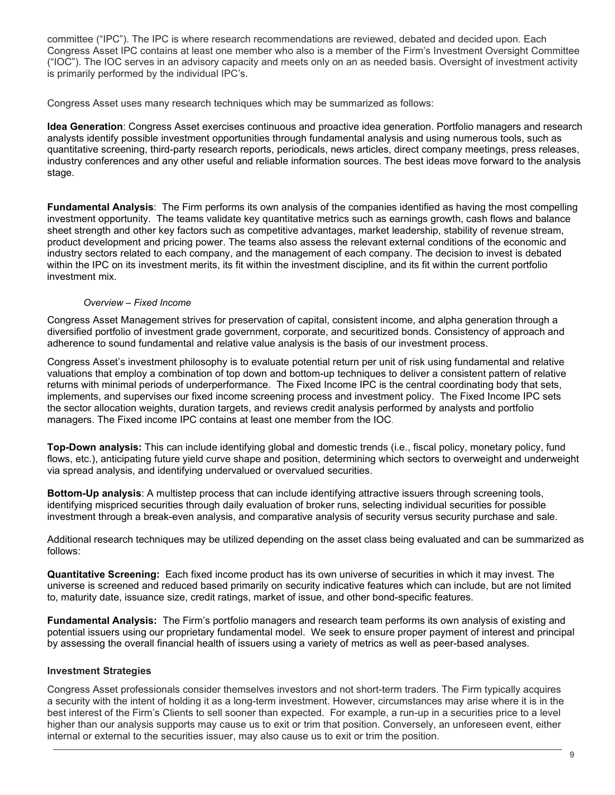committee ("IPC"). The IPC is where research recommendations are reviewed, debated and decided upon. Each Congress Asset IPC contains at least one member who also is a member of the Firm's Investment Oversight Committee ("IOC"). The IOC serves in an advisory capacity and meets only on an as needed basis. Oversight of investment activity is primarily performed by the individual IPC's.

Congress Asset uses many research techniques which may be summarized as follows:

**Idea Generation**: Congress Asset exercises continuous and proactive idea generation. Portfolio managers and research analysts identify possible investment opportunities through fundamental analysis and using numerous tools, such as quantitative screening, third-party research reports, periodicals, news articles, direct company meetings, press releases, industry conferences and any other useful and reliable information sources. The best ideas move forward to the analysis stage.

**Fundamental Analysis**: The Firm performs its own analysis of the companies identified as having the most compelling investment opportunity. The teams validate key quantitative metrics such as earnings growth, cash flows and balance sheet strength and other key factors such as competitive advantages, market leadership, stability of revenue stream, product development and pricing power. The teams also assess the relevant external conditions of the economic and industry sectors related to each company, and the management of each company. The decision to invest is debated within the IPC on its investment merits, its fit within the investment discipline, and its fit within the current portfolio investment mix.

### *Overview – Fixed Income*

Congress Asset Management strives for preservation of capital, consistent income, and alpha generation through a diversified portfolio of investment grade government, corporate, and securitized bonds. Consistency of approach and adherence to sound fundamental and relative value analysis is the basis of our investment process.

Congress Asset's investment philosophy is to evaluate potential return per unit of risk using fundamental and relative valuations that employ a combination of top down and bottom-up techniques to deliver a consistent pattern of relative returns with minimal periods of underperformance. The Fixed Income IPC is the central coordinating body that sets, implements, and supervises our fixed income screening process and investment policy. The Fixed Income IPC sets the sector allocation weights, duration targets, and reviews credit analysis performed by analysts and portfolio managers. The Fixed income IPC contains at least one member from the IOC.

**Top-Down analysis:** This can include identifying global and domestic trends (i.e., fiscal policy, monetary policy, fund flows, etc.), anticipating future yield curve shape and position, determining which sectors to overweight and underweight via spread analysis, and identifying undervalued or overvalued securities.

**Bottom-Up analysis**: A multistep process that can include identifying attractive issuers through screening tools, identifying mispriced securities through daily evaluation of broker runs, selecting individual securities for possible investment through a break-even analysis, and comparative analysis of security versus security purchase and sale.

Additional research techniques may be utilized depending on the asset class being evaluated and can be summarized as follows:

**Quantitative Screening:** Each fixed income product has its own universe of securities in which it may invest. The universe is screened and reduced based primarily on security indicative features which can include, but are not limited to, maturity date, issuance size, credit ratings, market of issue, and other bond-specific features.

**Fundamental Analysis:** The Firm's portfolio managers and research team performs its own analysis of existing and potential issuers using our proprietary fundamental model. We seek to ensure proper payment of interest and principal by assessing the overall financial health of issuers using a variety of metrics as well as peer-based analyses.

## **Investment Strategies**

Congress Asset professionals consider themselves investors and not short-term traders. The Firm typically acquires a security with the intent of holding it as a long-term investment. However, circumstances may arise where it is in the best interest of the Firm's Clients to sell sooner than expected. For example, a run-up in a securities price to a level higher than our analysis supports may cause us to exit or trim that position. Conversely, an unforeseen event, either internal or external to the securities issuer, may also cause us to exit or trim the position.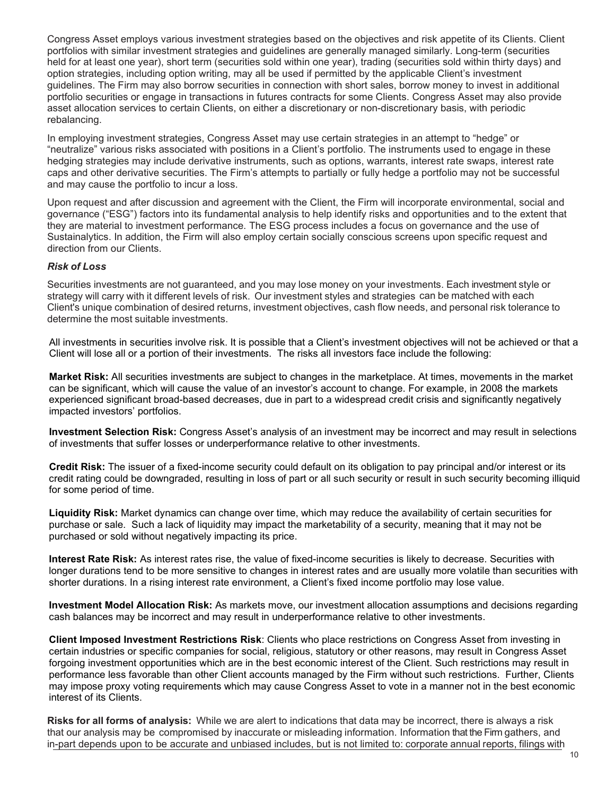Congress Asset employs various investment strategies based on the objectives and risk appetite of its Clients. Client portfolios with similar investment strategies and guidelines are generally managed similarly. Long-term (securities held for at least one year), short term (securities sold within one year), trading (securities sold within thirty days) and option strategies, including option writing, may all be used if permitted by the applicable Client's investment guidelines. The Firm may also borrow securities in connection with short sales, borrow money to invest in additional portfolio securities or engage in transactions in futures contracts for some Clients. Congress Asset may also provide asset allocation services to certain Clients, on either a discretionary or non-discretionary basis, with periodic rebalancing.

In employing investment strategies, Congress Asset may use certain strategies in an attempt to "hedge" or "neutralize" various risks associated with positions in a Client's portfolio. The instruments used to engage in these hedging strategies may include derivative instruments, such as options, warrants, interest rate swaps, interest rate caps and other derivative securities. The Firm's attempts to partially or fully hedge a portfolio may not be successful and may cause the portfolio to incur a loss.

Upon request and after discussion and agreement with the Client, the Firm will incorporate environmental, social and governance ("ESG") factors into its fundamental analysis to help identify risks and opportunities and to the extent that they are material to investment performance. The ESG process includes a focus on governance and the use of Sustainalytics. In addition, the Firm will also employ certain socially conscious screens upon specific request and direction from our Clients.

### *Risk of Loss*

Securities investments are not guaranteed, and you may lose money on your investments. Each investment style or strategy will carry with it different levels of risk. Our investment styles and strategies can be matched with each Client's unique combination of desired returns, investment objectives, cash flow needs, and personal risk tolerance to determine the most suitable investments.

All investments in securities involve risk. It is possible that a Client's investment objectives will not be achieved or that a Client will lose all or a portion of their investments. The risks all investors face include the following:

**Market Risk:** All securities investments are subject to changes in the marketplace. At times, movements in the market can be significant, which will cause the value of an investor's account to change. For example, in 2008 the markets experienced significant broad-based decreases, due in part to a widespread credit crisis and significantly negatively impacted investors' portfolios.

**Investment Selection Risk:** Congress Asset's analysis of an investment may be incorrect and may result in selections of investments that suffer losses or underperformance relative to other investments.

**Credit Risk:** The issuer of a fixed-income security could default on its obligation to pay principal and/or interest or its credit rating could be downgraded, resulting in loss of part or all such security or result in such security becoming illiquid for some period of time.

**Liquidity Risk:** Market dynamics can change over time, which may reduce the availability of certain securities for purchase or sale. Such a lack of liquidity may impact the marketability of a security, meaning that it may not be purchased or sold without negatively impacting its price.

**Interest Rate Risk:** As interest rates rise, the value of fixed-income securities is likely to decrease. Securities with longer durations tend to be more sensitive to changes in interest rates and are usually more volatile than securities with shorter durations. In a rising interest rate environment, a Client's fixed income portfolio may lose value.

**Investment Model Allocation Risk:** As markets move, our investment allocation assumptions and decisions regarding cash balances may be incorrect and may result in underperformance relative to other investments.

**Client Imposed Investment Restrictions Risk**: Clients who place restrictions on Congress Asset from investing in certain industries or specific companies for social, religious, statutory or other reasons, may result in Congress Asset forgoing investment opportunities which are in the best economic interest of the Client. Such restrictions may result in performance less favorable than other Client accounts managed by the Firm without such restrictions. Further, Clients may impose proxy voting requirements which may cause Congress Asset to vote in a manner not in the best economic interest of its Clients.

**Risks for all forms of analysis:** While we are alert to indications that data may be incorrect, there is always a risk that our analysis may be compromised by inaccurate or misleading information. Information that the Firm gathers, and in-part depends upon to be accurate and unbiased includes, but is not limited to: corporate annual reports, filings with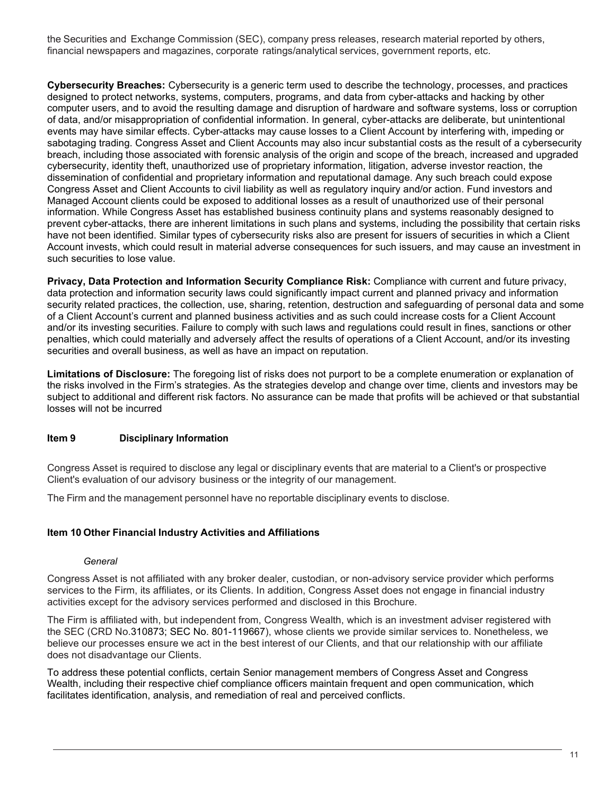the Securities and Exchange Commission (SEC), company press releases, research material reported by others, financial newspapers and magazines, corporate ratings/analytical services, government reports, etc.

**Cybersecurity Breaches:** Cybersecurity is a generic term used to describe the technology, processes, and practices designed to protect networks, systems, computers, programs, and data from cyber-attacks and hacking by other computer users, and to avoid the resulting damage and disruption of hardware and software systems, loss or corruption of data, and/or misappropriation of confidential information. In general, cyber-attacks are deliberate, but unintentional events may have similar effects. Cyber-attacks may cause losses to a Client Account by interfering with, impeding or sabotaging trading. Congress Asset and Client Accounts may also incur substantial costs as the result of a cybersecurity breach, including those associated with forensic analysis of the origin and scope of the breach, increased and upgraded cybersecurity, identity theft, unauthorized use of proprietary information, litigation, adverse investor reaction, the dissemination of confidential and proprietary information and reputational damage. Any such breach could expose Congress Asset and Client Accounts to civil liability as well as regulatory inquiry and/or action. Fund investors and Managed Account clients could be exposed to additional losses as a result of unauthorized use of their personal information. While Congress Asset has established business continuity plans and systems reasonably designed to prevent cyber-attacks, there are inherent limitations in such plans and systems, including the possibility that certain risks have not been identified. Similar types of cybersecurity risks also are present for issuers of securities in which a Client Account invests, which could result in material adverse consequences for such issuers, and may cause an investment in such securities to lose value.

**Privacy, Data Protection and Information Security Compliance Risk:** Compliance with current and future privacy, data protection and information security laws could significantly impact current and planned privacy and information security related practices, the collection, use, sharing, retention, destruction and safeguarding of personal data and some of a Client Account's current and planned business activities and as such could increase costs for a Client Account and/or its investing securities. Failure to comply with such laws and regulations could result in fines, sanctions or other penalties, which could materially and adversely affect the results of operations of a Client Account, and/or its investing securities and overall business, as well as have an impact on reputation.

**Limitations of Disclosure:** The foregoing list of risks does not purport to be a complete enumeration or explanation of the risks involved in the Firm's strategies. As the strategies develop and change over time, clients and investors may be subject to additional and different risk factors. No assurance can be made that profits will be achieved or that substantial losses will not be incurred

## **Item 9 Disciplinary Information**

Congress Asset is required to disclose any legal or disciplinary events that are material to a Client's or prospective Client's evaluation of our advisory business or the integrity of our management.

The Firm and the management personnel have no reportable disciplinary events to disclose.

## **Item 10 Other Financial Industry Activities and Affiliations**

#### *General*

Congress Asset is not affiliated with any broker dealer, custodian, or non-advisory service provider which performs services to the Firm, its affiliates, or its Clients. In addition, Congress Asset does not engage in financial industry activities except for the advisory services performed and disclosed in this Brochure.

The Firm is affiliated with, but independent from, Congress Wealth, which is an investment adviser registered with the SEC (CRD No.310873; SEC No. 801-119667), whose clients we provide similar services to. Nonetheless, we believe our processes ensure we act in the best interest of our Clients, and that our relationship with our affiliate does not disadvantage our Clients.

To address these potential conflicts, certain Senior management members of Congress Asset and Congress Wealth, including their respective chief compliance officers maintain frequent and open communication, which facilitates identification, analysis, and remediation of real and perceived conflicts.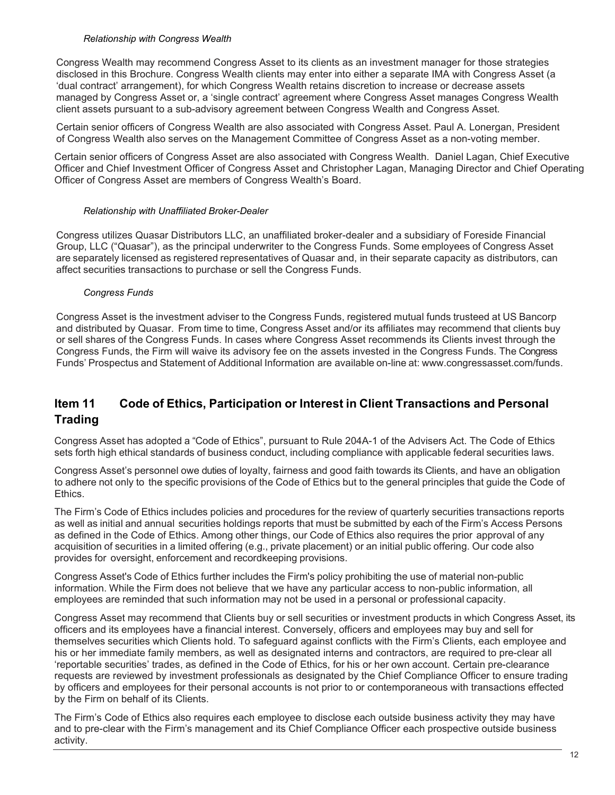### *Relationship with Congress Wealth*

Congress Wealth may recommend Congress Asset to its clients as an investment manager for those strategies disclosed in this Brochure. Congress Wealth clients may enter into either a separate IMA with Congress Asset (a 'dual contract' arrangement), for which Congress Wealth retains discretion to increase or decrease assets managed by Congress Asset or, a 'single contract' agreement where Congress Asset manages Congress Wealth client assets pursuant to a sub-advisory agreement between Congress Wealth and Congress Asset.

Certain senior officers of Congress Wealth are also associated with Congress Asset. Paul A. Lonergan, President of Congress Wealth also serves on the Management Committee of Congress Asset as a non-voting member.

Certain senior officers of Congress Asset are also associated with Congress Wealth. Daniel Lagan, Chief Executive Officer and Chief Investment Officer of Congress Asset and Christopher Lagan, Managing Director and Chief Operating Officer of Congress Asset are members of Congress Wealth's Board.

### *Relationship with Unaffiliated Broker-Dealer*

Congress utilizes Quasar Distributors LLC, an unaffiliated broker-dealer and a subsidiary of Foreside Financial Group, LLC ("Quasar"), as the principal underwriter to the Congress Funds. Some employees of Congress Asset are separately licensed as registered representatives of Quasar and, in their separate capacity as distributors, can affect securities transactions to purchase or sell the Congress Funds.

## *Congress Funds*

Congress Asset is the investment adviser to the Congress Funds, registered mutual funds trusteed at US Bancorp and distributed by Quasar. From time to time, Congress Asset and/or its affiliates may recommend that clients buy or sell shares of the Congress Funds. In cases where Congress Asset recommends its Clients invest through the Congress Funds, the Firm will waive its advisory fee on the assets invested in the Congress Funds. The Congress Funds' Prospectus and Statement of Additional Information are available on-line at: [www.congressasset.com/funds.](http://www.congressasset.com/funds)

# **Item 11 Code of Ethics, Participation or Interest in Client Transactions and Personal Trading**

Congress Asset has adopted a "Code of Ethics", pursuant to Rule 204A-1 of the Advisers Act. The Code of Ethics sets forth high ethical standards of business conduct, including compliance with applicable federal securities laws.

Congress Asset's personnel owe duties of loyalty, fairness and good faith towards its Clients, and have an obligation to adhere not only to the specific provisions of the Code of Ethics but to the general principles that guide the Code of Ethics.

The Firm's Code of Ethics includes policies and procedures for the review of quarterly securities transactions reports as well as initial and annual securities holdings reports that must be submitted by each of the Firm's Access Persons as defined in the Code of Ethics. Among other things, our Code of Ethics also requires the prior approval of any acquisition of securities in a limited offering (e.g., private placement) or an initial public offering. Our code also provides for oversight, enforcement and recordkeeping provisions.

Congress Asset's Code of Ethics further includes the Firm's policy prohibiting the use of material non-public information. While the Firm does not believe that we have any particular access to non-public information, all employees are reminded that such information may not be used in a personal or professional capacity.

Congress Asset may recommend that Clients buy or sell securities or investment products in which Congress Asset, its officers and its employees have a financial interest. Conversely, officers and employees may buy and sell for themselves securities which Clients hold. To safeguard against conflicts with the Firm's Clients, each employee and his or her immediate family members, as well as designated interns and contractors, are required to pre-clear all 'reportable securities' trades, as defined in the Code of Ethics, for his or her own account. Certain pre-clearance requests are reviewed by investment professionals as designated by the Chief Compliance Officer to ensure trading by officers and employees for their personal accounts is not prior to or contemporaneous with transactions effected by the Firm on behalf of its Clients.

The Firm's Code of Ethics also requires each employee to disclose each outside business activity they may have and to pre-clear with the Firm's management and its Chief Compliance Officer each prospective outside business activity.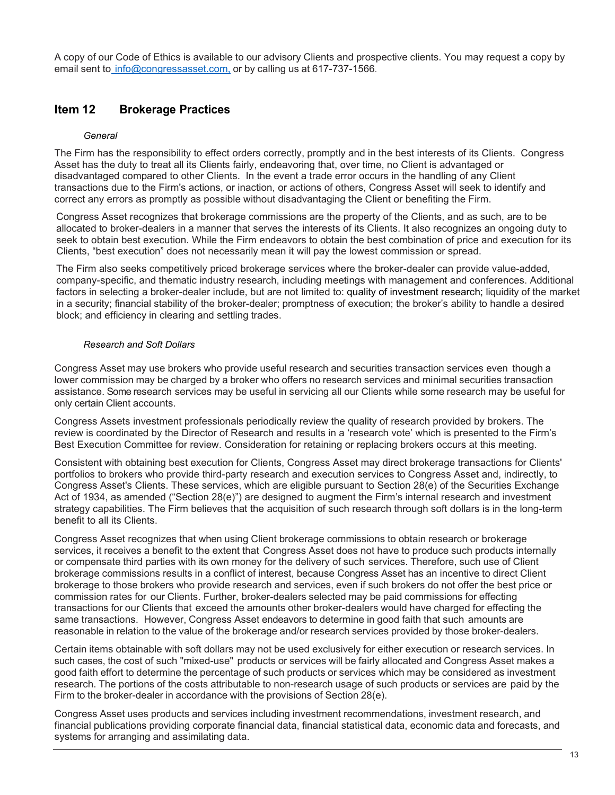A copy of our Code of Ethics is available to our advisory Clients and prospective clients. You may request a copy by email sent to [info@congressasset.com,](mailto:%20info@congressasset.com,) or by calling us at 617-737-1566.

## **Item 12 Brokerage Practices**

### *General*

The Firm has the responsibility to effect orders correctly, promptly and in the best interests of its Clients. Congress Asset has the duty to treat all its Clients fairly, endeavoring that, over time, no Client is advantaged or disadvantaged compared to other Clients. In the event a trade error occurs in the handling of any Client transactions due to the Firm's actions, or inaction, or actions of others, Congress Asset will seek to identify and correct any errors as promptly as possible without disadvantaging the Client or benefiting the Firm.

Congress Asset recognizes that brokerage commissions are the property of the Clients, and as such, are to be allocated to broker-dealers in a manner that serves the interests of its Clients. It also recognizes an ongoing duty to seek to obtain best execution. While the Firm endeavors to obtain the best combination of price and execution for its Clients, "best execution" does not necessarily mean it will pay the lowest commission or spread.

The Firm also seeks competitively priced brokerage services where the broker-dealer can provide value-added, company-specific, and thematic industry research, including meetings with management and conferences. Additional factors in selecting a broker-dealer include, but are not limited to: quality of investment research; liquidity of the market in a security; financial stability of the broker-dealer; promptness of execution; the broker's ability to handle a desired block; and efficiency in clearing and settling trades.

### *Research and Soft Dollars*

Congress Asset may use brokers who provide useful research and securities transaction services even though a lower commission may be charged by a broker who offers no research services and minimal securities transaction assistance. Some research services may be useful in servicing all our Clients while some research may be useful for only certain Client accounts.

Congress Assets investment professionals periodically review the quality of research provided by brokers. The review is coordinated by the Director of Research and results in a 'research vote' which is presented to the Firm's Best Execution Committee for review. Consideration for retaining or replacing brokers occurs at this meeting.

Consistent with obtaining best execution for Clients, Congress Asset may direct brokerage transactions for Clients' portfolios to brokers who provide third-party research and execution services to Congress Asset and, indirectly, to Congress Asset's Clients. These services, which are eligible pursuant to Section 28(e) of the Securities Exchange Act of 1934, as amended ("Section 28(e)") are designed to augment the Firm's internal research and investment strategy capabilities. The Firm believes that the acquisition of such research through soft dollars is in the long-term benefit to all its Clients.

Congress Asset recognizes that when using Client brokerage commissions to obtain research or brokerage services, it receives a benefit to the extent that Congress Asset does not have to produce such products internally or compensate third parties with its own money for the delivery of such services. Therefore, such use of Client brokerage commissions results in a conflict of interest, because Congress Asset has an incentive to direct Client brokerage to those brokers who provide research and services, even if such brokers do not offer the best price or commission rates for our Clients. Further, broker-dealers selected may be paid commissions for effecting transactions for our Clients that exceed the amounts other broker-dealers would have charged for effecting the same transactions. However, Congress Asset endeavors to determine in good faith that such amounts are reasonable in relation to the value of the brokerage and/or research services provided by those broker-dealers.

Certain items obtainable with soft dollars may not be used exclusively for either execution or research services. In such cases, the cost of such "mixed-use" products or services will be fairly allocated and Congress Asset makes a good faith effort to determine the percentage of such products or services which may be considered as investment research. The portions of the costs attributable to non-research usage of such products or services are paid by the Firm to the broker-dealer in accordance with the provisions of Section 28(e).

Congress Asset uses products and services including investment recommendations, investment research, and financial publications providing corporate financial data, financial statistical data, economic data and forecasts, and systems for arranging and assimilating data.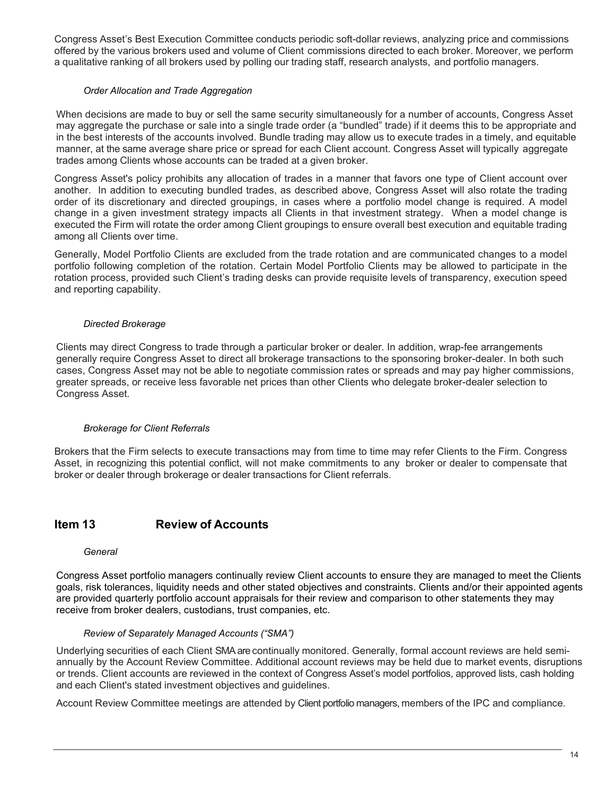Congress Asset's Best Execution Committee conducts periodic soft-dollar reviews, analyzing price and commissions offered by the various brokers used and volume of Client commissions directed to each broker. Moreover, we perform a qualitative ranking of all brokers used by polling our trading staff, research analysts, and portfolio managers.

#### *Order Allocation and Trade Aggregation*

When decisions are made to buy or sell the same security simultaneously for a number of accounts, Congress Asset may aggregate the purchase or sale into a single trade order (a "bundled" trade) if it deems this to be appropriate and in the best interests of the accounts involved. Bundle trading may allow us to execute trades in a timely, and equitable manner, at the same average share price or spread for each Client account. Congress Asset will typically aggregate trades among Clients whose accounts can be traded at a given broker.

Congress Asset's policy prohibits any allocation of trades in a manner that favors one type of Client account over another. In addition to executing bundled trades, as described above, Congress Asset will also rotate the trading order of its discretionary and directed groupings, in cases where a portfolio model change is required. A model change in a given investment strategy impacts all Clients in that investment strategy. When a model change is executed the Firm will rotate the order among Client groupings to ensure overall best execution and equitable trading among all Clients over time.

Generally, Model Portfolio Clients are excluded from the trade rotation and are communicated changes to a model portfolio following completion of the rotation. Certain Model Portfolio Clients may be allowed to participate in the rotation process, provided such Client's trading desks can provide requisite levels of transparency, execution speed and reporting capability.

### *Directed Brokerage*

Clients may direct Congress to trade through a particular broker or dealer. In addition, wrap-fee arrangements generally require Congress Asset to direct all brokerage transactions to the sponsoring broker-dealer. In both such cases, Congress Asset may not be able to negotiate commission rates or spreads and may pay higher commissions, greater spreads, or receive less favorable net prices than other Clients who delegate broker-dealer selection to Congress Asset.

#### *Brokerage for Client Referrals*

Brokers that the Firm selects to execute transactions may from time to time may refer Clients to the Firm. Congress Asset, in recognizing this potential conflict, will not make commitments to any broker or dealer to compensate that broker or dealer through brokerage or dealer transactions for Client referrals.

## **Item 13 Review of Accounts**

#### *General*

Congress Asset portfolio managers continually review Client accounts to ensure they are managed to meet the Clients goals, risk tolerances, liquidity needs and other stated objectives and constraints. Clients and/or their appointed agents are provided quarterly portfolio account appraisals for their review and comparison to other statements they may receive from broker dealers, custodians, trust companies, etc.

#### *Review of Separately Managed Accounts ("SMA")*

Underlying securities of each Client SMA are continually monitored. Generally, formal account reviews are held semiannually by the Account Review Committee. Additional account reviews may be held due to market events, disruptions or trends. Client accounts are reviewed in the context of Congress Asset's model portfolios, approved lists, cash holding and each Client's stated investment objectives and guidelines.

Account Review Committee meetings are attended by Client portfolio managers, members of the IPC and compliance.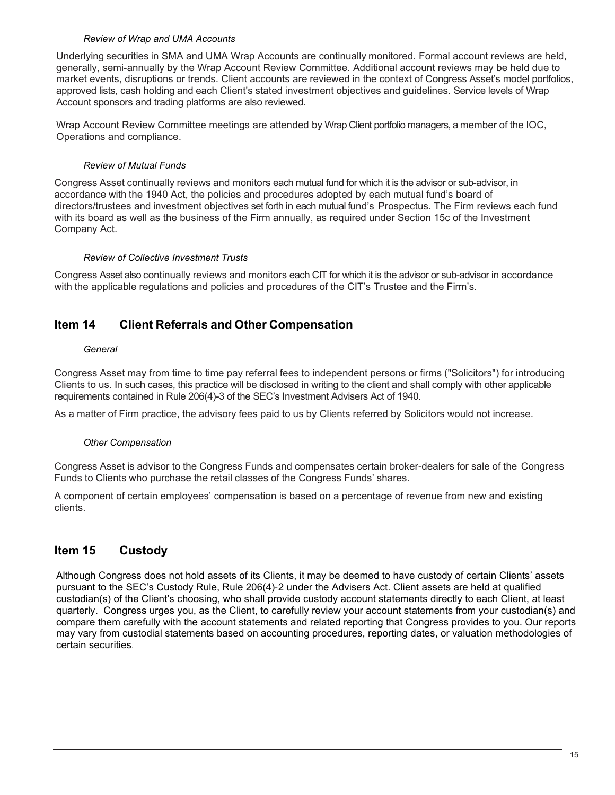#### *Review of Wrap and UMA Accounts*

Underlying securities in SMA and UMA Wrap Accounts are continually monitored. Formal account reviews are held, generally, semi-annually by the Wrap Account Review Committee. Additional account reviews may be held due to market events, disruptions or trends. Client accounts are reviewed in the context of Congress Asset's model portfolios, approved lists, cash holding and each Client's stated investment objectives and guidelines. Service levels of Wrap Account sponsors and trading platforms are also reviewed.

Wrap Account Review Committee meetings are attended by Wrap Client portfolio managers, a member of the IOC, Operations and compliance.

## *Review of Mutual Funds*

Congress Asset continually reviews and monitors each mutual fund for which it is the advisor or sub-advisor, in accordance with the 1940 Act, the policies and procedures adopted by each mutual fund's board of directors/trustees and investment objectives set forth in each mutual fund's Prospectus. The Firm reviews each fund with its board as well as the business of the Firm annually, as required under Section 15c of the Investment Company Act.

### *Review of Collective Investment Trusts*

Congress Asset also continually reviews and monitors each CIT for which it is the advisor or sub-advisor in accordance with the applicable regulations and policies and procedures of the CIT's Trustee and the Firm's.

## **Item 14 Client Referrals and Other Compensation**

### *General*

Congress Asset may from time to time pay referral fees to independent persons or firms ("Solicitors") for introducing Clients to us. In such cases, this practice will be disclosed in writing to the client and shall comply with other applicable requirements contained in Rule 206(4)-3 of the SEC's Investment Advisers Act of 1940.

As a matter of Firm practice, the advisory fees paid to us by Clients referred by Solicitors would not increase.

## *Other Compensation*

Congress Asset is advisor to the Congress Funds and compensates certain broker-dealers for sale of the Congress Funds to Clients who purchase the retail classes of the Congress Funds' shares.

A component of certain employees' compensation is based on a percentage of revenue from new and existing clients.

# **Item 15 Custody**

Although Congress does not hold assets of its Clients, it may be deemed to have custody of certain Clients' assets pursuant to the SEC's Custody Rule, Rule 206(4)‐2 under the Advisers Act. Client assets are held at qualified custodian(s) of the Client's choosing, who shall provide custody account statements directly to each Client, at least quarterly. Congress urges you, as the Client, to carefully review your account statements from your custodian(s) and compare them carefully with the account statements and related reporting that Congress provides to you. Our reports may vary from custodial statements based on accounting procedures, reporting dates, or valuation methodologies of certain securities.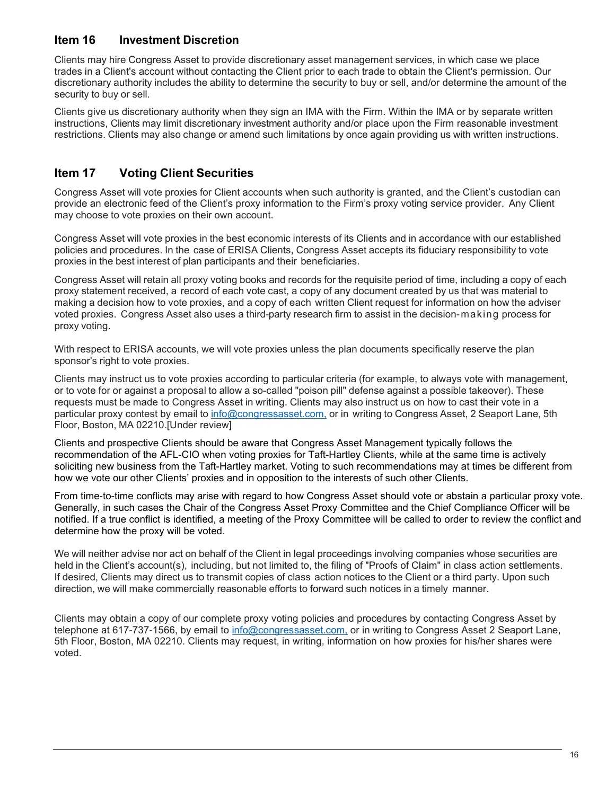## **Item 16 Investment Discretion**

Clients may hire Congress Asset to provide discretionary asset management services, in which case we place trades in a Client's account without contacting the Client prior to each trade to obtain the Client's permission. Our discretionary authority includes the ability to determine the security to buy or sell, and/or determine the amount of the security to buy or sell.

Clients give us discretionary authority when they sign an IMA with the Firm. Within the IMA or by separate written instructions, Clients may limit discretionary investment authority and/or place upon the Firm reasonable investment restrictions. Clients may also change or amend such limitations by once again providing us with written instructions.

# **Item 17 Voting Client Securities**

Congress Asset will vote proxies for Client accounts when such authority is granted, and the Client's custodian can provide an electronic feed of the Client's proxy information to the Firm's proxy voting service provider. Any Client may choose to vote proxies on their own account.

Congress Asset will vote proxies in the best economic interests of its Clients and in accordance with our established policies and procedures. In the case of ERISA Clients, Congress Asset accepts its fiduciary responsibility to vote proxies in the best interest of plan participants and their beneficiaries.

Congress Asset will retain all proxy voting books and records for the requisite period of time, including a copy of each proxy statement received, a record of each vote cast, a copy of any document created by us that was material to making a decision how to vote proxies, and a copy of each written Client request for information on how the adviser voted proxies. Congress Asset also uses a third-party research firm to assist in the decision-making process for proxy voting.

With respect to ERISA accounts, we will vote proxies unless the plan documents specifically reserve the plan sponsor's right to vote proxies.

Clients may instruct us to vote proxies according to particular criteria (for example, to always vote with management, or to vote for or against a proposal to allow a so-called "poison pill" defense against a possible takeover). These requests must be made to Congress Asset in writing. Clients may also instruct us on how to cast their vote in a particular proxy contest by email to [info@congressasset.com,](mailto:info@congressasset.com,) or in writing to Congress Asset, 2 Seaport Lane, 5th Floor, Boston, MA 02210.[Under review]

Clients and prospective Clients should be aware that Congress Asset Management typically follows the recommendation of the AFL-CIO when voting proxies for Taft-Hartley Clients, while at the same time is actively soliciting new business from the Taft-Hartley market. Voting to such recommendations may at times be different from how we vote our other Clients' proxies and in opposition to the interests of such other Clients.

From time-to-time conflicts may arise with regard to how Congress Asset should vote or abstain a particular proxy vote. Generally, in such cases the Chair of the Congress Asset Proxy Committee and the Chief Compliance Officer will be notified. If a true conflict is identified, a meeting of the Proxy Committee will be called to order to review the conflict and determine how the proxy will be voted.

We will neither advise nor act on behalf of the Client in legal proceedings involving companies whose securities are held in the Client's account(s), including, but not limited to, the filing of "Proofs of Claim" in class action settlements. If desired, Clients may direct us to transmit copies of class action notices to the Client or a third party. Upon such direction, we will make commercially reasonable efforts to forward such notices in a timely manner.

Clients may obtain a copy of our complete proxy voting policies and procedures by contacting Congress Asset by telephone at 617-737-1566, by email to [info@congressasset.com,](mailto:operations@congressasset.com,) or in writing to Congress Asset 2 Seaport Lane, 5th Floor, Boston, MA 02210. Clients may request, in writing, information on how proxies for his/her shares were voted.